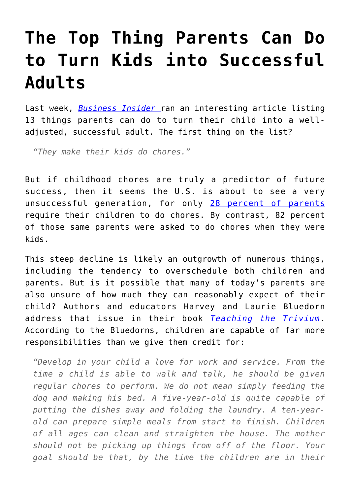## **[The Top Thing Parents Can Do](https://intellectualtakeout.org/2016/05/the-top-thing-parents-can-do-to-turn-kids-into-successful-adults/) [to Turn Kids into Successful](https://intellectualtakeout.org/2016/05/the-top-thing-parents-can-do-to-turn-kids-into-successful-adults/) [Adults](https://intellectualtakeout.org/2016/05/the-top-thing-parents-can-do-to-turn-kids-into-successful-adults/)**

Last week, *[Business Insider](http://www.businessinsider.com/how-parents-set-their-kids-up-for-success-2016-4)* ran an interesting article listing 13 things parents can do to turn their child into a welladjusted, successful adult. The first thing on the list?

*"They make their kids do chores."*

But if childhood chores are truly a predictor of future success, then it seems the U.S. is about to see a very unsuccessful generation, for only [28 percent of parents](https://www.intellectualtakeout.org/blog/wow%E2%80%A6-only-28-parents-require-their-children-do-chores) require their children to do chores. By contrast, 82 percent of those same parents were asked to do chores when they were kids.

This steep decline is likely an outgrowth of numerous things, including the tendency to overschedule both children and parents. But is it possible that many of today's parents are also unsure of how much they can reasonably expect of their child? Authors and educators Harvey and Laurie Bluedorn address that issue in their book *[Teaching the Trivium](http://www.amazon.com/gp/product/0974361631/ref=as_li_qf_sp_asin_il_tl?ie=UTF8&camp=1789&creative=9325&creativeASIN=0974361631&linkCode=as2&tag=intelltakeo0d-20&linkId=DTZKXTYWXCHGL3CY)*. According to the Bluedorns, children are capable of far more responsibilities than we give them credit for:

*"Develop in your child a love for work and service. From the time a child is able to walk and talk, he should be given regular chores to perform. We do not mean simply feeding the dog and making his bed. A five-year-old is quite capable of putting the dishes away and folding the laundry. A ten-yearold can prepare simple meals from start to finish. Children of all ages can clean and straighten the house. The mother should not be picking up things from off of the floor. Your goal should be that, by the time the children are in their*